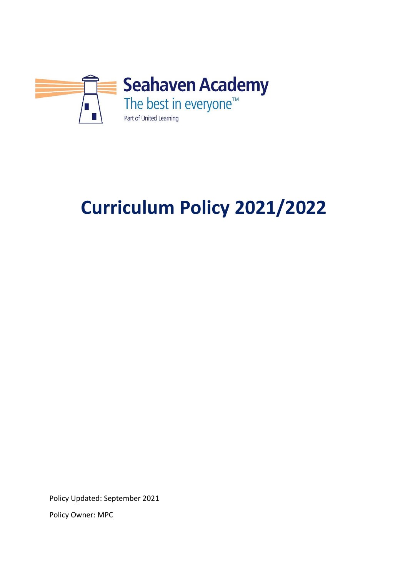

# **Curriculum Policy 2021/2022**

Policy Updated: September 2021

Policy Owner: MPC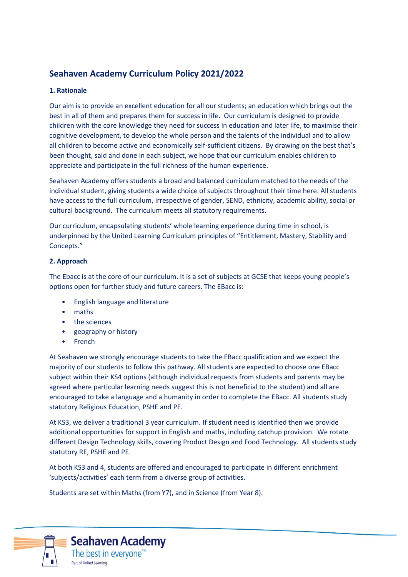# **Seahaven Academy Curriculum Policy 2021/2022**

## **1. Rationale**

Our aim is to provide an excellent education for all our students; an education which brings out the best in all of them and prepares them for success in life. Our curriculum is designed to provide children with the core knowledge they need for success in education and later life, to maximise their cognitive development, to develop the whole person and the talents of the individual and to allow all children to become active and economically self-sufficient citizens. By drawing on the best that's been thought, said and done in each subject, we hope that our curriculum enables children to appreciate and participate in the full richness of the human experience.

Seahaven Academy offers students a broad and balanced curriculum matched to the needs of the individual student, giving students a wide choice of subjects throughout their time here. All students have access to the full curriculum, irrespective of gender, SEND, ethnicity, academic ability, social or cultural background. The curriculum meets all statutory requirements.

Our curriculum, encapsulating students' whole learning experience during time in school, is underpinned by the United Learning Curriculum principles of "Entitlement, Mastery, Stability and Concepts."

### **2. Approach**

The Ebacc is at the core of our curriculum. It is a set of subjects at GCSE that keeps young people's options open for further study and future careers. The EBacc is:

- English language and literature
- maths
- the sciences
- geography or history
- French

At Seahaven we strongly encourage students to take the EBacc qualification and we expect the majority of our students to follow this pathway. All students are expected to choose one EBacc subject within their KS4 options (although individual requests from students and parents may be agreed where particular learning needs suggest this is not beneficial to the student) and all are encouraged to take a language and a humanity in order to complete the EBacc. All students study statutory Religious Education, PSHE and PE.

At KS3, we deliver a traditional 3 year curriculum. If student need is identified then we provide additional opportunities for support in English and maths, including catchup provision. We rotate different Design Technology skills, covering Product Design and Food Technology. All students study statutory RE, PSHE and PE.

At both KS3 and 4, students are offered and encouraged to participate in different enrichment 'subjects/activities' each term from a diverse group of activities.

Students are set within Maths (from Y7), and in Science (from Year 8).

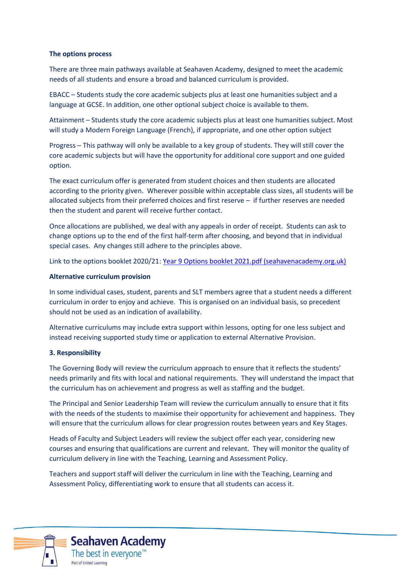#### **The options process**

There are three main pathways available at Seahaven Academy, designed to meet the academic needs of all students and ensure a broad and balanced curriculum is provided.

EBACC – Students study the core academic subjects plus at least one humanities subject and a language at GCSE. In addition, one other optional subject choice is available to them.

Attainment – Students study the core academic subjects plus at least one humanities subject. Most will study a Modern Foreign Language (French), if appropriate, and one other option subject

Progress – This pathway will only be available to a key group of students. They will still cover the core academic subjects but will have the opportunity for additional core support and one guided option.

The exact curriculum offer is generated from student choices and then students are allocated according to the priority given. Wherever possible within acceptable class sizes, all students will be allocated subjects from their preferred choices and first reserve – if further reserves are needed then the student and parent will receive further contact.

Once allocations are published, we deal with any appeals in order of receipt. Students can ask to change options up to the end of the first half-term after choosing, and beyond that in individual special cases. Any changes still adhere to the principles above.

Link to the options booklet 2020/21[: Year 9 Options booklet 2021.pdf \(seahavenacademy.org.uk\)](https://www.seahavenacademy.org.uk/Portals/0/Library/Documents/Year%209%20options/Year%209%20Options%20booklet%202021.pdf?ver=hJMU1qw5OBc6kypL9b-Zmg%3d%3d)

#### **Alternative curriculum provision**

In some individual cases, student, parents and SLT members agree that a student needs a different curriculum in order to enjoy and achieve. This is organised on an individual basis, so precedent should not be used as an indication of availability.

Alternative curriculums may include extra support within lessons, opting for one less subject and instead receiving supported study time or application to external Alternative Provision.

#### **3. Responsibility**

The Governing Body will review the curriculum approach to ensure that it reflects the students' needs primarily and fits with local and national requirements. They will understand the impact that the curriculum has on achievement and progress as well as staffing and the budget.

The Principal and Senior Leadership Team will review the curriculum annually to ensure that it fits with the needs of the students to maximise their opportunity for achievement and happiness. They will ensure that the curriculum allows for clear progression routes between years and Key Stages.

Heads of Faculty and Subject Leaders will review the subject offer each year, considering new courses and ensuring that qualifications are current and relevant. They will monitor the quality of curriculum delivery in line with the Teaching, Learning and Assessment Policy.

Teachers and support staff will deliver the curriculum in line with the Teaching, Learning and Assessment Policy, differentiating work to ensure that all students can access it.